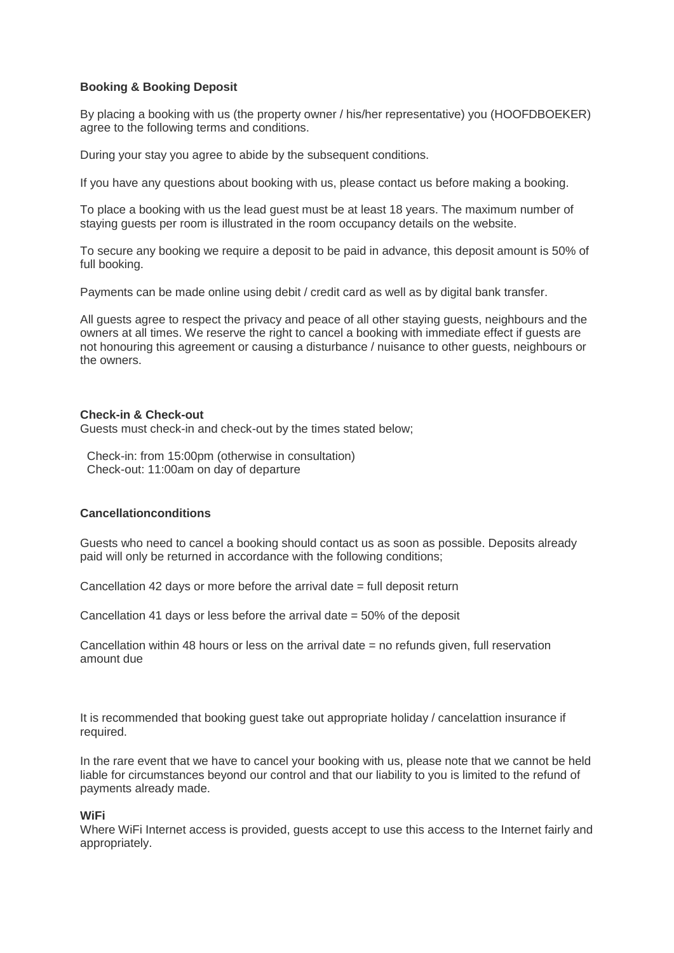# **Booking & Booking Deposit**

By placing a booking with us (the property owner / his/her representative) you (HOOFDBOEKER) agree to the following terms and conditions.

During your stay you agree to abide by the subsequent conditions.

If you have any questions about booking with us, please contact us before making a booking.

To place a booking with us the lead guest must be at least 18 years. The maximum number of staying guests per room is illustrated in the room occupancy details on the website.

To secure any booking we require a deposit to be paid in advance, this deposit amount is 50% of full booking.

Payments can be made online using debit / credit card as well as by digital bank transfer.

All guests agree to respect the privacy and peace of all other staying guests, neighbours and the owners at all times. We reserve the right to cancel a booking with immediate effect if guests are not honouring this agreement or causing a disturbance / nuisance to other guests, neighbours or the owners.

#### **Check-in & Check-out**

Guests must check-in and check-out by the times stated below;

Check-in: from 15:00pm (otherwise in consultation) Check-out: 11:00am on day of departure

## **Cancellationconditions**

Guests who need to cancel a booking should contact us as soon as possible. Deposits already paid will only be returned in accordance with the following conditions;

Cancellation 42 days or more before the arrival date  $=$  full deposit return

Cancellation 41 days or less before the arrival date = 50% of the deposit

Cancellation within 48 hours or less on the arrival date  $=$  no refunds given, full reservation amount due

It is recommended that booking guest take out appropriate holiday / cancelattion insurance if required.

In the rare event that we have to cancel your booking with us, please note that we cannot be held liable for circumstances beyond our control and that our liability to you is limited to the refund of payments already made.

## **WiFi**

Where WiFi Internet access is provided, quests accept to use this access to the Internet fairly and appropriately.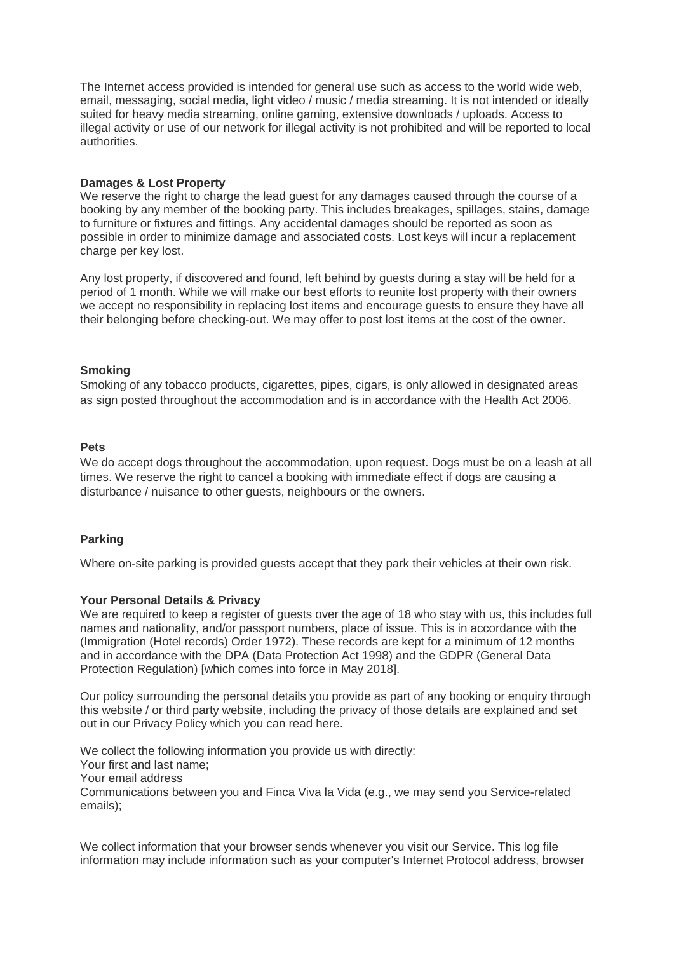The Internet access provided is intended for general use such as access to the world wide web, email, messaging, social media, light video / music / media streaming. It is not intended or ideally suited for heavy media streaming, online gaming, extensive downloads / uploads. Access to illegal activity or use of our network for illegal activity is not prohibited and will be reported to local authorities.

#### **Damages & Lost Property**

We reserve the right to charge the lead guest for any damages caused through the course of a booking by any member of the booking party. This includes breakages, spillages, stains, damage to furniture or fixtures and fittings. Any accidental damages should be reported as soon as possible in order to minimize damage and associated costs. Lost keys will incur a replacement charge per key lost.

Any lost property, if discovered and found, left behind by guests during a stay will be held for a period of 1 month. While we will make our best efforts to reunite lost property with their owners we accept no responsibility in replacing lost items and encourage guests to ensure they have all their belonging before checking-out. We may offer to post lost items at the cost of the owner.

## **Smoking**

Smoking of any tobacco products, cigarettes, pipes, cigars, is only allowed in designated areas as sign posted throughout the accommodation and is in accordance with the Health Act 2006.

#### **Pets**

We do accept dogs throughout the accommodation, upon request. Dogs must be on a leash at all times. We reserve the right to cancel a booking with immediate effect if dogs are causing a disturbance / nuisance to other guests, neighbours or the owners.

## **Parking**

Where on-site parking is provided guests accept that they park their vehicles at their own risk.

#### **Your Personal Details & Privacy**

We are required to keep a register of guests over the age of 18 who stay with us, this includes full names and nationality, and/or passport numbers, place of issue. This is in accordance with the (Immigration (Hotel records) Order 1972). These records are kept for a minimum of 12 months and in accordance with the DPA (Data Protection Act 1998) and the GDPR (General Data Protection Regulation) [which comes into force in May 2018].

Our policy surrounding the personal details you provide as part of any booking or enquiry through this website / or third party website, including the privacy of those details are explained and set out in our Privacy Policy which you can read here.

We collect the following information you provide us with directly: Your first and last name; Your email address Communications between you and Finca Viva la Vida (e.g., we may send you Service-related emails);

We collect information that your browser sends whenever you visit our Service. This log file information may include information such as your computer's Internet Protocol address, browser